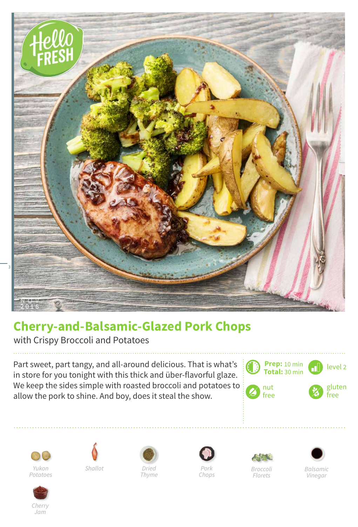

## **Cherry-and-Balsamic-Glazed Pork Chops**

with Crispy Broccoli and Potatoes

Part sweet, part tangy, and all-around delicious. That is what's in store for you tonight with this thick and über-flavorful glaze. We keep the sides simple with roasted broccoli and potatoes to allow the pork to shine. And boy, does it steal the show.

















*Thyme*

*Pork Chops*

*Broccoli Florets*

*Balsamic Vinegar*